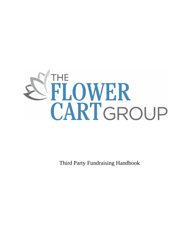

Third Party Fundraising Handbook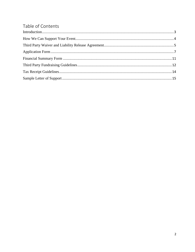# Table of Contents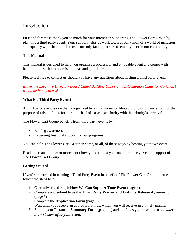## <span id="page-2-0"></span>Introduction

First and foremost, thank you so much for your interest in supporting The Flower Cart Group by planning a third party event! Your support helps us work towards our vision of a world of inclusion and equality while helping all those currently facing barriers to employment in our community.

#### **This Manual**

This manual is designed to help you organize a successful and enjoyable event and comes with helpful tools such as fundraising ideas and guidelines.

Please feel free to contact us should you have any questions about hosting a third party event:

*Either the Executive Director/ Board Chair/ Building Opportunities Campaign Chair (or Co-Chair) would be happy to assist.*

#### **What is a Third Party Event?**

A third party event is one that is organized by an individual, affiliated group or organization, for the purpose of raising funds for - or on behalf of - a chosen charity with that charity's approval.

The Flower Cart Group benefits from third party events by:

- Raising awareness
- Receiving financial support for our programs

You can help The Flower Cart Group in some, or all, of these ways by hosting your own event!

Read this manual to learn more about how you can host your own third party event in support of The Flower Cart Group.

#### **Getting Started**

If you're interested in running a Third Party Event in benefit of The Flower Cart Group, please follow the steps below:

- 1. Carefully read through **How We Can Support Your Event** (page 4).
- 2. Complete and submit to us the **Third Party Waiver and Liability Release Agreement** (page 5)
- 3. Complete the **Application Form** (page 7)
- 4. Wait until you receive an approval from us, which you will receive in a timely manner.
- *5.* Submit your **Financial Summary Form** (page 11) and the funds you raised for us *no later than 30 days after your event.*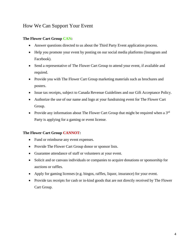## <span id="page-3-0"></span>How We Can Support Your Event

## **The Flower Cart Group CAN:**

- Answer questions directed to us about the Third Party Event application process.
- Help you promote your event by posting on our social media platforms (Instagram and Facebook).
- Send a representative of The Flower Cart Group to attend your event, if available and required.
- Provide you with The Flower Cart Group marketing materials such as brochures and posters.
- Issue tax receipts, subject to Canada Revenue Guidelines and our Gift Acceptance Policy.
- Authorize the use of our name and logo at your fundraising event for The Flower Cart Group.
- Provide any information about The Flower Cart Group that might be required when a  $3<sup>rd</sup>$ Party is applying for a gaming or event license.

## **The Flower Cart Group CANNOT:**

- Fund or reimburse any event expenses.
- Provide The Flower Cart Group donor or sponsor lists.
- Guarantee attendance of staff or volunteers at your event.
- Solicit and or canvass individuals or companies to acquire donations or sponsorship for auctions or raffles.
- Apply for gaming licenses (e.g. bingos, raffles, liquor, insurance) for your event.
- Provide tax receipts for cash or in-kind goods that are not directly received by The Flower Cart Group.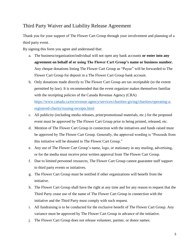## <span id="page-4-0"></span>Third Party Waiver and Liability Release Agreement

Thank you for your support of The Flower Cart Group through your involvement and planning of a third party event.

By signing this form you agree and understand that:

- a. The business/organization/individual will not open any bank accounts **or enter into any agreement on behalf of or using The Flower Cart Group's name or business number.** Any cheque donations listing The Flower Cart Group as "Payee" will be forwarded to The Flower Cart Group for deposit in a The Flower Cart Group bank account.
- b. Only donations made directly to The Flower Cart Group are tax receiptable (to the extent permitted by law). It is recommended that the event organizer makes themselves familiar with the receipting policies of the Canada Revenue Agency (CRA) [https://www.canada.ca/en/revenue-agency/services/charities-giving/charities/operating-a](https://www.canada.ca/en/revenue-agency/services/charities-giving/charities/operating-a-registered-charity/issuing-receipts.html)[registered-charity/issuing-receipts.html](https://www.canada.ca/en/revenue-agency/services/charities-giving/charities/operating-a-registered-charity/issuing-receipts.html)
- c. All publicity (including media releases, print/promotional materials, etc.) for the proposed event must be approved by The Flower Cart Group prior to being printed, released, etc.
- d. Mention of The Flower Cart Group in connection with the initiatives and funds raised must be approved by The Flower Cart Group. Generally, the approved wording is "Proceeds from this initiative will be donated to The Flower Cart Group."
- e. Any use of The Flower Cart Group's name, logo, or stationary in any mailing, advertising, or for the media must receive prior written approval from The Flower Cart Group.
- f. Due to limited personnel resources, The Flower Cart Group cannot guarantee staff support to third party events or initiatives.
- g. The Flower Cart Group must be notified if other organizations will benefit from the initiative.
- h. The Flower Cart Group shall have the right at any time and for any reason to request that the Third Party cease use of the name of The Flower Cart Group in connection with the initiative and the Third Party must comply with such request.
- i. All fundraising is to be conducted for the exclusive benefit of The Flower Cart Group. Any variance must be approved by The Flower Cart Group in advance of the initiative.
- j. The Flower Cart Group does not release volunteer, partner, or donor names.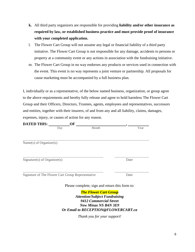- **k.** All third party organizers are responsible for providing **liability and/or other insurance as required by law, or established business practice and must provide proof of insurance with your completed application.**
- l. The Flower Cart Group will not assume any legal or financial liability of a third party initiative. The Flower Cart Group is not responsible for any damage, accidents to persons or property at a community event or any actions in association with the fundraising initiative.
- m. The Flower Cart Group in no way endorses any products or services used in connection with the event. This event is no way represents a joint venture or partnership. All proposals for cause marketing must be accompanied by a full business plan.

I, individually or as a representative, of the below named business, organization, or group agree to the above requirements and hereby fully release and agree to hold harmless The Flower Cart Group and their Officers, Directors, Trustees, agents, employees and representatives, successors and entities, together with their insurers, of and from any and all liability, claims, damages, expenses, injury, or causes of action for any reason.

| <b>DATED THIS:</b>             | OF                                                |       |      |
|--------------------------------|---------------------------------------------------|-------|------|
|                                | Day                                               | Month | Year |
|                                |                                                   |       |      |
| Name $(s)$ of Organizer $(s)$  |                                                   |       |      |
| $Sigmaer(s)$ of $Organizer(s)$ |                                                   |       | Date |
|                                | Signature of The Flower Cart Group Representative |       | Date |

Please complete, sign and return this form to:

*The Flower Cart Group Attention/Subject Fundraising 9412 Commercial Street New Minas NS B4N 3E9 Or Email to RECEPTION@FLOWERCART.ca*

*Thank you for your support!*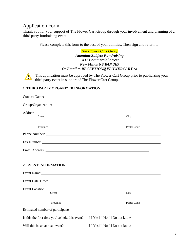## <span id="page-6-0"></span>Application Form

 $\sum_{i=1}^{n}$ 

Thank you for your support of The Flower Cart Group through your involvement and planning of a third party fundraising event.

Please complete this form to the best of your abilities. Then sign and return to:

#### *The Flower Cart Group Attention/Subject Fundraising 9412 Commercial Street New Minas NS B4N 3E9 Or Email to RECEPTION@FLOWERCART.ca*

This application must be approved by The Flower Cart Group prior to publicizing your third party event in support of The Flower Cart Group.

#### **1. THIRD PARTY ORGANIZER INFORMATION**

| Street                                                                     | City                                                                                                                                                                                                                                         |
|----------------------------------------------------------------------------|----------------------------------------------------------------------------------------------------------------------------------------------------------------------------------------------------------------------------------------------|
| Province                                                                   | the control of the control of the control of the control of the control of the control of the control of the control of the control of the control of the control of the control of the control of the control of the control<br>Postal Code |
|                                                                            |                                                                                                                                                                                                                                              |
|                                                                            |                                                                                                                                                                                                                                              |
|                                                                            |                                                                                                                                                                                                                                              |
|                                                                            |                                                                                                                                                                                                                                              |
| <b>2. EVENT INFORMATION</b>                                                |                                                                                                                                                                                                                                              |
|                                                                            | Event Name: Name:                                                                                                                                                                                                                            |
|                                                                            | Event Date/Time:                                                                                                                                                                                                                             |
|                                                                            |                                                                                                                                                                                                                                              |
| Street                                                                     | City                                                                                                                                                                                                                                         |
| Province                                                                   | Postal Code                                                                                                                                                                                                                                  |
|                                                                            |                                                                                                                                                                                                                                              |
| Is this the first time you've held this event? [] Yes [] No [] Do not know |                                                                                                                                                                                                                                              |
| Will this be an annual event?                                              | [] Yes [] No [] Do not know                                                                                                                                                                                                                  |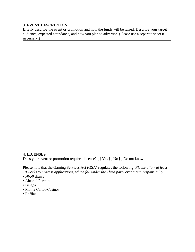## **3. EVENT DESCRIPTION**

Briefly describe the event or promotion and how the funds will be raised. Describe your target audience, expected attendance, and how you plan to advertise. (Please use a separate sheet if necessary.)

#### **4. LICENSES**

Does your event or promotion require a license? [ ] Yes [ ] No [ ] Do not know

Please note that the Gaming Services Act (GSA) regulates the following. *Please allow at least 10 weeks to process applications, which fall under the Third party organizers responsibility.*

- $\cdot$  50/50 draws
- Alcohol Permits
- Bingos
- Monte Carlos/Casinos
- Raffles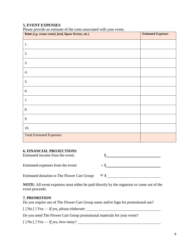## **5. EVENT EXPENSES**

| I Ruse provide an estimate of the costs associated with your event.<br>Item (e.g. venue rental, food, liquor license, etc.) | <b>Estimated Expenses</b> |
|-----------------------------------------------------------------------------------------------------------------------------|---------------------------|
| 1.                                                                                                                          |                           |
| 2.                                                                                                                          |                           |
| 3.                                                                                                                          |                           |
| 4.                                                                                                                          |                           |
| 5.                                                                                                                          |                           |
| 6.                                                                                                                          |                           |
| 7.                                                                                                                          |                           |
| 8.                                                                                                                          |                           |
| 9.                                                                                                                          |                           |
| 10.                                                                                                                         |                           |
| <b>Total Estimated Expenses:</b>                                                                                            |                           |

Please provide an estimate of the costs associated with your event.

#### **6. FINANCIAL PROJECTIONS**

| Estimated income from the event:             |        |
|----------------------------------------------|--------|
| Estimated expenses from the event:           | $-9$   |
| Estimated donation to The Flower Cart Group: | $=$ \$ |

**NOTE:** All event expenses must either be paid directly by the organizer or come out of the event proceeds.

#### **7. PROMOTION**

Do you require use of The Flower Cart Group name and/or logo for promotional use?

[ ] No [ ] Yes — *If yes, please elaborate:*

Do you need The Flower Cart Group promotional materials for your event?

[ ] No [ ] Yes — *If yes, how many?*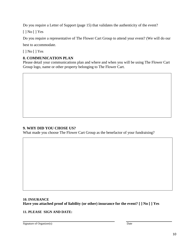Do you require a Letter of Support (page 15) that validates the authenticity of the event?

[ ] No [ ] Yes

Do you require a representative of The Flower Cart Group to attend your event? (We will do our

best to accommodate.

[ ] No [ ] Yes

## **8. COMMUNICATION PLAN**

Please detail your communications plan and where and when you will be using The Flower Cart Group logo, name or other property belonging to The Flower Cart.

## **9. WHY DID YOU CHOSE US?**

What made you choose The Flower Cart Group as the benefactor of your fundraising?

#### **10. INSURANCE Have you attached proof of liability (or other) insurance for the event? [ ] No [ ] Yes**

#### **11. PLEASE SIGN AND DATE:**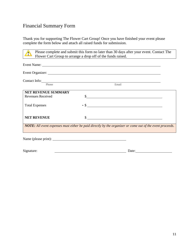## <span id="page-10-0"></span>Financial Summary Form

Thank you for supporting The Flower Cart Group! Once you have finished your event please complete the form below and attach all raised funds for submission.

Please complete and submit this form no later than 30 days after your event. Contact The  $\Delta$ Flower Cart Group to arrange a drop off of the funds raised.

|                       | Event Organizer:                                                                                          |  |
|-----------------------|-----------------------------------------------------------------------------------------------------------|--|
| Contact Info:         |                                                                                                           |  |
| Phone                 | Email                                                                                                     |  |
| NET REVENUE SUMMARY   |                                                                                                           |  |
| Revenues Received     |                                                                                                           |  |
| <b>Total Expenses</b> |                                                                                                           |  |
| <b>NET REVENUE</b>    | \$<br><u> 1980 - John Stein, Amerikaansk politiker (</u>                                                  |  |
|                       | NOTE: All event expenses must either be paid directly by the organizer or come out of the event proceeds. |  |
|                       |                                                                                                           |  |

Signature: Date: Date: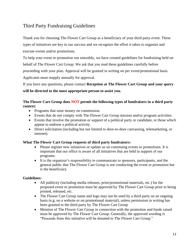## <span id="page-11-0"></span>Third Party Fundraising Guidelines

Thank you for choosing The Flower Cart Group as a beneficiary of your third party event. These types of initiatives are key to our success and we recognize the effort it takes to organize and execute events and/or promotions.

To help your event or promotion run smoothly, we have created guidelines for fundraising held on behalf of The Flower Cart Group. We ask that you read these guidelines carefully before proceeding with your plan. Approval will be granted in writing on per event/promotional basis. Applicants must reapply annually for approval.

If you have any questions, please contact **Reception at The Flower Cart Group and your query** 

## **will be directed to the most appropriate person to assist you.**

### **The Flower Cart Group does NOT permit the following types of fundraisers in a third party context:**

- Programs that raise money on commission.
- Events that do not comply with The Flower Cart Group mission and/or program activities.
- Events that involve the promotion or support of a political party or candidate, or those which appear to endorse a political activity.
- Direct solicitation (including but not limited to door-to-door canvassing, telemarketing, or internet).

## **What The Flower Cart Group requests of third party fundraisers:**

- Please register new initiatives or update us on continuing events or promotions. It is important that our office is aware of all initiatives that are held in support of our programs.
- It is the organizer's responsibility to communicate to sponsors, participants, and the general public that The Flower Cart Group is not conducting the event or promotion but is the beneficiary.

## **Guidelines:**

- All publicity (including media releases, print/promotional materials, etc.) for the proposed event or promotion must be approved by The Flower Cart Group prior to being printed, released, etc.
- The Flower Cart Group name and logo may not be used by a third party on an ongoing basis (e.g. on a website or on promotional material), unless permission in writing has been granted to the third party by The Flower Cart Group
- Mention of The Flower Cart Group in connection with the promotion and funds raised must be approved by The Flower Cart Group. Generally, the approved wording is "Proceeds from this initiative will be donated to The Flower Cart Group."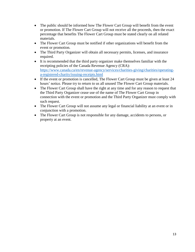- The public should be informed how The Flower Cart Group will benefit from the event or promotion. If The Flower Cart Group will not receive all the proceeds, then the exact percentage that benefits The Flower Cart Group must be stated clearly on all related materials.
- The Flower Cart Group must be notified if other organizations will benefit from the event or promotion.
- The Third Party Organizer will obtain all necessary permits, licenses, and insurance required.
- It is recommended that the third party organizer make themselves familiar with the receipting policies of the Canada Revenue Agency (CRA): [https://www.canada.ca/en/revenue-agency/services/charities-giving/charities/operating](https://www.canada.ca/en/revenue-agency/services/charities-giving/charities/operating-a-registered-charity/issuing-receipts.html)[a-registered-charity/issuing-receipts.html](https://www.canada.ca/en/revenue-agency/services/charities-giving/charities/operating-a-registered-charity/issuing-receipts.html)
- If the event or promotion is cancelled, The Flower Cart Group must be given at least 24 hours' notice. Please try to return to us all unused The Flower Cart Group materials.
- The Flower Cart Group shall have the right at any time and for any reason to request that the Third Party Organizer cease use of the name of The Flower Cart Group in connection with the event or promotion and the Third Party Organizer must comply with such request.
- The Flower Cart Group will not assume any legal or financial liability at an event or in conjunction with a promotion.
- The Flower Cart Group is not responsible for any damage, accidents to persons, or property at an event.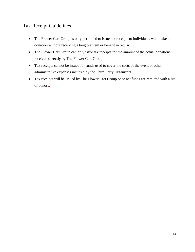## <span id="page-13-0"></span>Tax Receipt Guidelines

- The Flower Cart Group is only permitted to issue tax receipts to individuals who make a donation without receiving a tangible item or benefit in return.
- The Flower Cart Group can only issue tax receipts for the amount of the actual donations received **directly** by The Flower Cart Group.
- Tax receipts cannot be issued for funds used to cover the costs of the event or other administrative expenses incurred by the Third Party Organizers.
- Tax receipts will be issued by The Flower Cart Group once net funds are remitted with a list of donors.